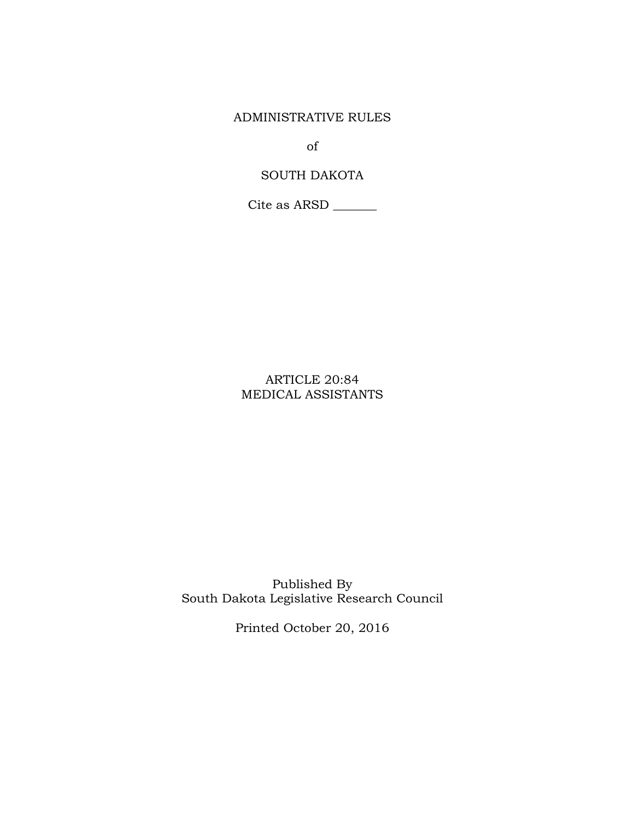ADMINISTRATIVE RULES

of

# SOUTH DAKOTA

Cite as ARSD \_\_\_\_\_\_\_

# ARTICLE 20:84 MEDICAL ASSISTANTS

Published By South Dakota Legislative Research Council

Printed October 20, 2016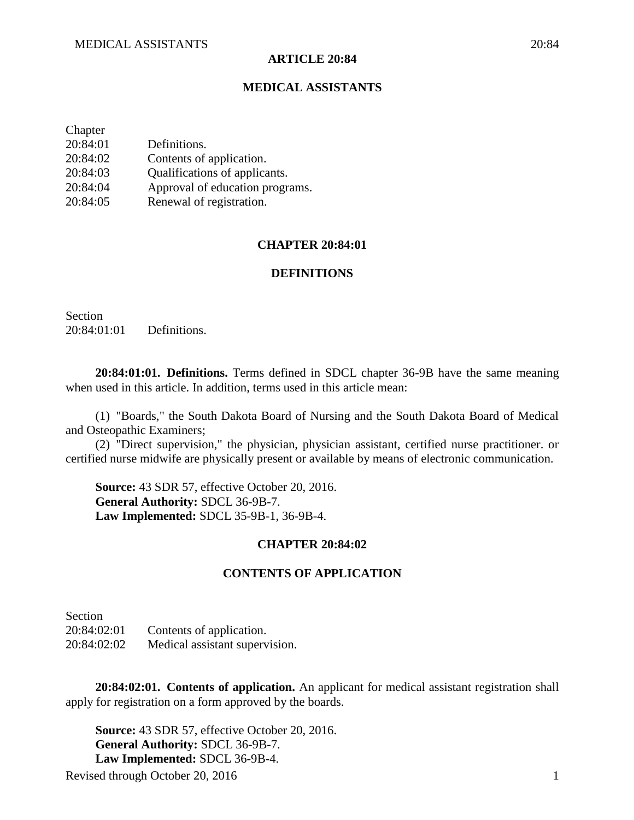### **ARTICLE 20:84**

## **MEDICAL ASSISTANTS**

| Chapter  |                                 |
|----------|---------------------------------|
| 20:84:01 | Definitions.                    |
| 20:84:02 | Contents of application.        |
| 20:84:03 | Qualifications of applicants.   |
| 20:84:04 | Approval of education programs. |
| 20:84:05 | Renewal of registration.        |

## **CHAPTER 20:84:01**

## **DEFINITIONS**

Section 20:84:01:01 Definitions.

**20:84:01:01. Definitions.** Terms defined in SDCL chapter 36-9B have the same meaning when used in this article. In addition, terms used in this article mean:

(1) "Boards," the South Dakota Board of Nursing and the South Dakota Board of Medical and Osteopathic Examiners;

(2) "Direct supervision," the physician, physician assistant, certified nurse practitioner. or certified nurse midwife are physically present or available by means of electronic communication.

**Source:** 43 SDR 57, effective October 20, 2016. **General Authority:** SDCL 36-9B-7. **Law Implemented:** SDCL 35-9B-1, 36-9B-4.

#### **CHAPTER 20:84:02**

### **CONTENTS OF APPLICATION**

**Section** 20:84:02:01 Contents of application. 20:84:02:02 Medical assistant supervision.

**20:84:02:01. Contents of application.** An applicant for medical assistant registration shall apply for registration on a form approved by the boards.

Revised through October 20, 2016 1 **Source:** 43 SDR 57, effective October 20, 2016. **General Authority:** SDCL 36-9B-7. **Law Implemented:** SDCL 36-9B-4.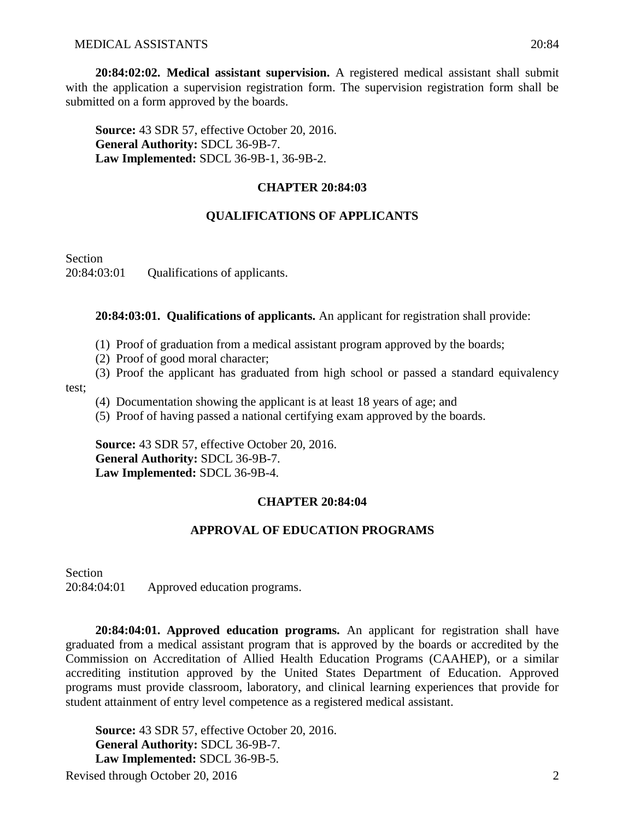**20:84:02:02. Medical assistant supervision.** A registered medical assistant shall submit with the application a supervision registration form. The supervision registration form shall be submitted on a form approved by the boards.

**Source:** 43 SDR 57, effective October 20, 2016. **General Authority:** SDCL 36-9B-7. **Law Implemented:** SDCL 36-9B-1, 36-9B-2.

# **CHAPTER 20:84:03**

# **QUALIFICATIONS OF APPLICANTS**

**Section** 20:84:03:01 Qualifications of applicants.

**20:84:03:01. Qualifications of applicants.** An applicant for registration shall provide:

- (1) Proof of graduation from a medical assistant program approved by the boards;
- (2) Proof of good moral character;
- (3) Proof the applicant has graduated from high school or passed a standard equivalency

test;

- (4) Documentation showing the applicant is at least 18 years of age; and
- (5) Proof of having passed a national certifying exam approved by the boards.

**Source:** 43 SDR 57, effective October 20, 2016. **General Authority:** SDCL 36-9B-7. **Law Implemented:** SDCL 36-9B-4.

# **CHAPTER 20:84:04**

## **APPROVAL OF EDUCATION PROGRAMS**

Section 20:84:04:01 Approved education programs.

**20:84:04:01. Approved education programs.** An applicant for registration shall have graduated from a medical assistant program that is approved by the boards or accredited by the Commission on Accreditation of Allied Health Education Programs (CAAHEP), or a similar accrediting institution approved by the United States Department of Education. Approved programs must provide classroom, laboratory, and clinical learning experiences that provide for student attainment of entry level competence as a registered medical assistant.

Revised through October 20, 2016 2 **Source:** 43 SDR 57, effective October 20, 2016. **General Authority:** SDCL 36-9B-7. **Law Implemented:** SDCL 36-9B-5.